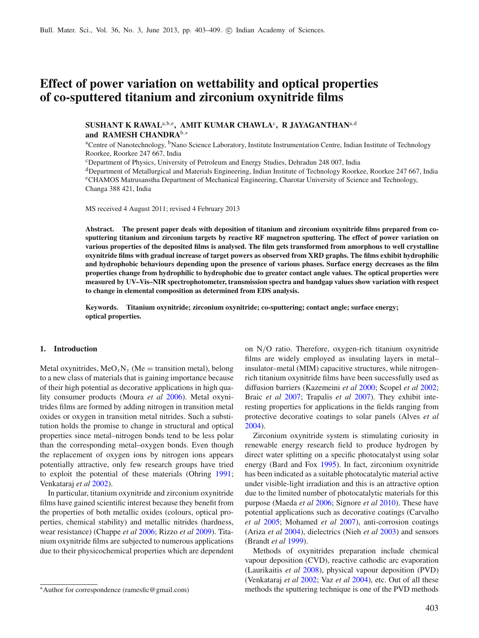# **Effect of power variation on wettability and optical properties of co-sputtered titanium and zirconium oxynitride films**

# $\mathbf{SUSHANT\ K\ RAWAL}^{a,b,e},\ \mathbf{AMIT\ KUMAR\ CHAWLA}^{c},\ \mathbf{R\ JAYAGANTHAN}^{a,d}$ **and RAMESH CHANDRA**b,<sup>∗</sup>

<sup>a</sup>Centre of Nanotechnology, <sup>b</sup>Nano Science Laboratory, Institute Instrumentation Centre, Indian Institute of Technology Roorkee, Roorkee 247 667, India

<sup>c</sup>Department of Physics, University of Petroleum and Energy Studies, Dehradun 248 007, India

<sup>d</sup>Department of Metallurgical and Materials Engineering, Indian Institute of Technology Roorkee, Roorkee 247 667, India <sup>e</sup>CHAMOS Matrusanstha Department of Mechanical Engineering, Charotar University of Science and Technology, Changa 388 421, India

MS received 4 August 2011; revised 4 February 2013

**Abstract. The present paper deals with deposition of titanium and zirconium oxynitride films prepared from cosputtering titanium and zirconium targets by reactive RF magnetron sputtering. The effect of power variation on various properties of the deposited films is analysed. The film gets transformed from amorphous to well crystalline oxynitride films with gradual increase of target powers as observed from XRD graphs. The films exhibit hydrophilic and hydrophobic behaviours depending upon the presence of various phases. Surface energy decreases as the film properties change from hydrophilic to hydrophobic due to greater contact angle values. The optical properties were measured by UV–Vis–NIR spectrophotometer, transmission spectra and bandgap values show variation with respect to change in elemental composition as determined from EDS analysis.**

**Keywords. Titanium oxynitride; zirconium oxynitride; co-sputtering; contact angle; surface energy; optical properties.**

### **1. Introduction**

Metal oxynitrides,  $MeO<sub>x</sub>N<sub>y</sub>$  (Me = transition metal), belong to a new class of materials that is gaining importance because of their high potential as decorative applications in high quality consumer products (Moura *et al* 2006). Metal oxynitrides films are formed by adding nitrogen in transition metal oxides or oxygen in transition metal nitrides. Such a substitution holds the promise to change in structural and optical properties since metal–nitrogen bonds tend to be less polar than the corresponding metal–oxygen bonds. Even though the replacement of oxygen ions by nitrogen ions appears potentially attractive, only few research groups have tried to exploit the potential of these materials (Ohring 1991; Venkataraj *et al* 2002).

In particular, titanium oxynitride and zirconium oxynitride films have gained scientific interest because they benefit from the properties of both metallic oxides (colours, optical properties, chemical stability) and metallic nitrides (hardness, wear resistance) (Chappe *et al* 2006; Rizzo *et al* 2009). Titanium oxynitride films are subjected to numerous applications due to their physicochemical properties which are dependent on N/O ratio. Therefore, oxygen-rich titanium oxynitride films are widely employed as insulating layers in metal– insulator–metal (MIM) capacitive structures, while nitrogenrich titanium oxynitride films have been successfully used as diffusion barriers (Kazemeini *et al* 2000; Scopel *et al* 2002; Braic *et al* 2007; Trapalis *et al* 2007). They exhibit interesting properties for applications in the fields ranging from protective decorative coatings to solar panels (Alves *et al* 2004).

Zirconium oxynitride system is stimulating curiosity in renewable energy research field to produce hydrogen by direct water splitting on a specific photocatalyst using solar energy (Bard and Fox 1995). In fact, zirconium oxynitride has been indicated as a suitable photocatalytic material active under visible-light irradiation and this is an attractive option due to the limited number of photocatalytic materials for this purpose (Maeda *et al* 2006; Signore *et al* 2010). These have potential applications such as decorative coatings (Carvalho *et al* 2005; Mohamed *et al* 2007), anti-corrosion coatings (Ariza *et al* 2004), dielectrics (Nieh *et al* 2003) and sensors (Brandt *et al* 1999).

Methods of oxynitrides preparation include chemical vapour deposition (CVD), reactive cathodic arc evaporation (Laurikaitis *et al* 2008), physical vapour deposition (PVD) (Venkataraj *et al* 2002; Vaz *et al* 2004), etc. Out of all these methods the sputtering technique is one of the PVD methods

<sup>∗</sup>Author for correspondence (ramesfic@gmail.com)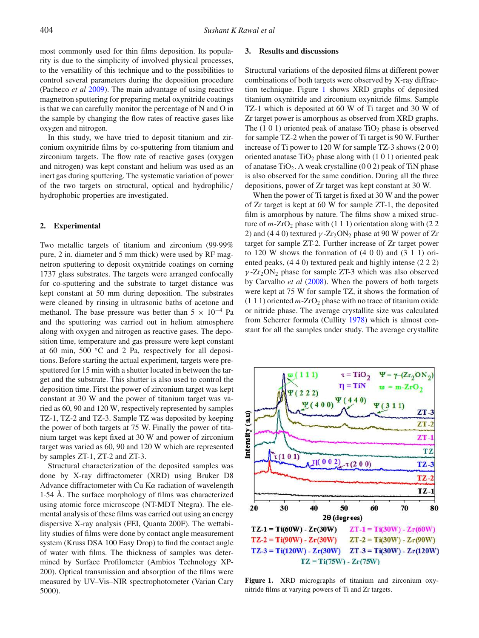most commonly used for thin films deposition. Its popularity is due to the simplicity of involved physical processes, to the versatility of this technique and to the possibilities to control several parameters during the deposition procedure (Pacheco *et al* 2009). The main advantage of using reactive magnetron sputtering for preparing metal oxynitride coatings is that we can carefully monitor the percentage of N and O in the sample by changing the flow rates of reactive gases like oxygen and nitrogen.

In this study, we have tried to deposit titanium and zirconium oxynitride films by co-sputtering from titanium and zirconium targets. The flow rate of reactive gases (oxygen and nitrogen) was kept constant and helium was used as an inert gas during sputtering. The systematic variation of power of the two targets on structural, optical and hydrophilic/ hydrophobic properties are investigated.

## **2. Experimental**

Two metallic targets of titanium and zirconium (99·99% pure, 2 in. diameter and 5 mm thick) were used by RF magnetron sputtering to deposit oxynitride coatings on corning 1737 glass substrates. The targets were arranged confocally for co-sputtering and the substrate to target distance was kept constant at 50 mm during deposition. The substrates were cleaned by rinsing in ultrasonic baths of acetone and methanol. The base pressure was better than  $5 \times 10^{-4}$  Pa and the sputtering was carried out in helium atmosphere along with oxygen and nitrogen as reactive gases. The deposition time, temperature and gas pressure were kept constant at 60 min, 500 ◦C and 2 Pa, respectively for all depositions. Before starting the actual experiment, targets were presputtered for 15 min with a shutter located in between the target and the substrate. This shutter is also used to control the deposition time. First the power of zirconium target was kept constant at 30 W and the power of titanium target was varied as 60, 90 and 120 W, respectively represented by samples TZ-1, TZ-2 and TZ-3. Sample TZ was deposited by keeping the power of both targets at 75 W. Finally the power of titanium target was kept fixed at 30 W and power of zirconium target was varied as 60, 90 and 120 W which are represented by samples ZT-1, ZT-2 and ZT-3.

Structural characterization of the deposited samples was done by X-ray diffractometer (XRD) using Bruker D8 Advance diffractometer with Cu K $\alpha$  radiation of wavelength 1·54 Å. The surface morphology of films was characterized using atomic force microscope (NT-MDT Ntegra). The elemental analysis of these films was carried out using an energy dispersive X-ray analysis (FEI, Quanta 200F). The wettability studies of films were done by contact angle measurement system (Kruss DSA 100 Easy Drop) to find the contact angle of water with films. The thickness of samples was determined by Surface Profilometer (Ambios Technology XP-200). Optical transmission and absorption of the films were measured by UV–Vis–NIR spectrophotometer (Varian Cary 5000).

#### **3. Results and discussions**

Structural variations of the deposited films at different power combinations of both targets were observed by X-ray diffraction technique. Figure 1 shows XRD graphs of deposited titanium oxynitride and zirconium oxynitride films. Sample TZ-1 which is deposited at 60 W of Ti target and 30 W of Zr target power is amorphous as observed from XRD graphs. The  $(1\ 0\ 1)$  oriented peak of anatase TiO<sub>2</sub> phase is observed for sample TZ-2 when the power of Ti target is 90 W. Further increase of Ti power to 120 W for sample TZ-3 shows (2 0 0) oriented anatase  $TiO<sub>2</sub>$  phase along with (1 0 1) oriented peak of anatase  $TiO<sub>2</sub>$ . A weak crystalline (0 0 2) peak of TiN phase is also observed for the same condition. During all the three depositions, power of Zr target was kept constant at 30 W.

When the power of Ti target is fixed at 30 W and the power of Zr target is kept at 60 W for sample ZT-1, the deposited film is amorphous by nature. The films show a mixed structure of  $m$ -ZrO<sub>2</sub> phase with (1 1 1) orientation along with (2 2) 2) and (4 4 0) textured  $\gamma$ -Zr<sub>2</sub>ON<sub>2</sub> phase at 90 W power of Zr target for sample ZT-2. Further increase of Zr target power to 120 W shows the formation of  $(4\ 0\ 0)$  and  $(3\ 1\ 1)$  oriented peaks, (4 4 0) textured peak and highly intense (2 2 2)  $\gamma$ -Zr<sub>2</sub>ON<sub>2</sub> phase for sample ZT-3 which was also observed by Carvalho *et al* (2008). When the powers of both targets were kept at 75 W for sample TZ, it shows the formation of  $(1 1 1)$  oriented  $m$ -ZrO<sub>2</sub> phase with no trace of titanium oxide or nitride phase. The average crystallite size was calculated from Scherrer formula (Cullity 1978) which is almost constant for all the samples under study. The average crystallite



**Figure 1.** XRD micrographs of titanium and zirconium oxynitride films at varying powers of Ti and Zr targets.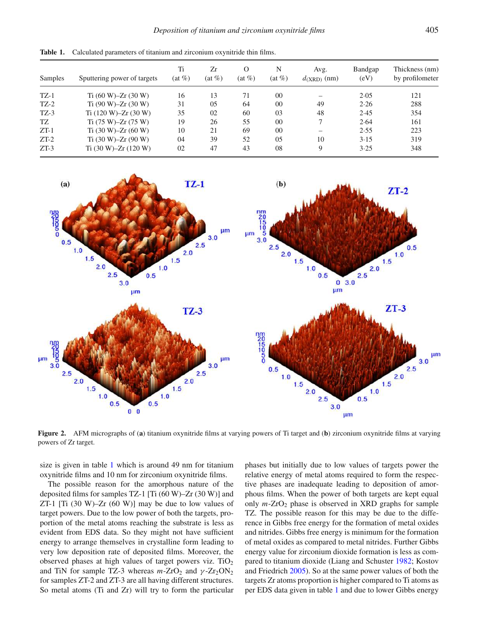| Samples | Sputtering power of targets | Ti<br>$(at \%)$ | Zr<br>$(at \%)$ | $\Omega$<br>$(at \%)$ | N<br>$(at \%)$ | Avg.<br>$d_{(XRD)}$ (nm) | Bandgap<br>(eV) | Thickness (nm)<br>by profilometer |
|---------|-----------------------------|-----------------|-----------------|-----------------------|----------------|--------------------------|-----------------|-----------------------------------|
| $TZ-1$  | Ti $(60 W)$ -Zr $(30 W)$    | 16              | 13              | 71                    | 0 <sup>0</sup> |                          | 2.05            | 121                               |
| $TZ-2$  | Ti $(90 W)$ –Zr $(30 W)$    | 31              | 05              | 64                    | 0 <sup>0</sup> | 49                       | 2.26            | 288                               |
| $TZ-3$  | Ti $(120 W)$ -Zr $(30 W)$   | 35              | 02              | 60                    | 03             | 48                       | 2.45            | 354                               |
| TZ      | $Ti (75 W) - Zr (75 W)$     | 19              | 26              | 55                    | 0 <sup>0</sup> | ⇁                        | 2.64            | 161                               |
| $ZT-1$  | Ti $(30 W)$ –Zr $(60 W)$    | 10              | 21              | 69                    | 0 <sup>0</sup> | $\overline{\phantom{0}}$ | 2.55            | 223                               |
| $ZT-2$  | Ti $(30 W)$ –Zr $(90 W)$    | 04              | 39              | 52                    | $0.5^{\circ}$  | 10                       | 3.15            | 319                               |
| $ZT-3$  | Ti $(30 W)$ –Zr $(120 W)$   | 02              | 47              | 43                    | 08             | 9                        | 3.25            | 348                               |

**Table 1.** Calculated parameters of titanium and zirconium oxynitride thin films.



**Figure 2.** AFM micrographs of (**a**) titanium oxynitride films at varying powers of Ti target and (**b**) zirconium oxynitride films at varying powers of Zr target.

size is given in table 1 which is around 49 nm for titanium oxynitride films and 10 nm for zirconium oxynitride films.

The possible reason for the amorphous nature of the deposited films for samples TZ-1 [Ti (60 W)–Zr (30 W)] and ZT-1  $[Ti (30 W) - Zr (60 W)]$  may be due to low values of target powers. Due to the low power of both the targets, proportion of the metal atoms reaching the substrate is less as evident from EDS data. So they might not have sufficient energy to arrange themselves in crystalline form leading to very low deposition rate of deposited films. Moreover, the observed phases at high values of target powers viz. TiO<sup>2</sup> and TiN for sample TZ-3 whereas  $m$ -ZrO<sub>2</sub> and  $\gamma$ -Zr<sub>2</sub>ON<sub>2</sub> for samples ZT-2 and ZT-3 are all having different structures. So metal atoms (Ti and Zr) will try to form the particular

phases but initially due to low values of targets power the relative energy of metal atoms required to form the respective phases are inadequate leading to deposition of amorphous films. When the power of both targets are kept equal only  $m$ -ZrO<sub>2</sub> phase is observed in XRD graphs for sample TZ. The possible reason for this may be due to the difference in Gibbs free energy for the formation of metal oxides and nitrides. Gibbs free energy is minimum for the formation of metal oxides as compared to metal nitrides. Further Gibbs energy value for zirconium dioxide formation is less as compared to titanium dioxide (Liang and Schuster 1982; Kostov and Friedrich 2005). So at the same power values of both the targets Zr atoms proportion is higher compared to Ti atoms as per EDS data given in table 1 and due to lower Gibbs energy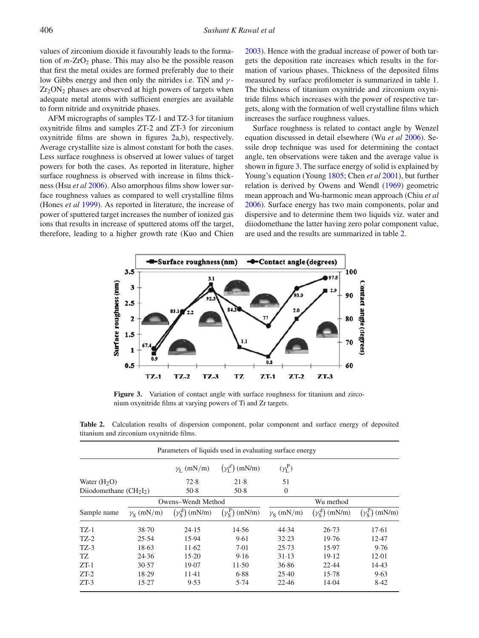values of zirconium dioxide it favourably leads to the formation of  $m$ -ZrO<sub>2</sub> phase. This may also be the possible reason that first the metal oxides are formed preferably due to their low Gibbs energy and then only the nitrides i.e. TiN and  $\gamma$ - $Zr_2ON_2$  phases are observed at high powers of targets when adequate metal atoms with sufficient energies are available to form nitride and oxynitride phases.

AFM micrographs of samples TZ-1 and TZ-3 for titanium oxynitride films and samples ZT-2 and ZT-3 for zirconium oxynitride films are shown in figures 2a,b), respectively. Average crystallite size is almost constant for both the cases. Less surface roughness is observed at lower values of target powers for both the cases. As reported in literature, higher surface roughness is observed with increase in films thickness (Hsu *et al* 2006). Also amorphous films show lower surface roughness values as compared to well crystalline films (Hones *et al* 1999). As reported in literature, the increase of power of sputtered target increases the number of ionized gas ions that results in increase of sputtered atoms off the target, therefore, leading to a higher growth rate (Kuo and Chien 2003). Hence with the gradual increase of power of both targets the deposition rate increases which results in the formation of various phases. Thickness of the deposited films measured by surface profilometer is summarized in table 1. The thickness of titanium oxynitride and zirconium oxynitride films which increases with the power of respective targets, along with the formation of well crystalline films which increases the surface roughness values.

Surface roughness is related to contact angle by Wenzel equation discussed in detail elsewhere (Wu *et al* 2006). Sessile drop technique was used for determining the contact angle, ten observations were taken and the average value is shown in figure 3. The surface energy of solid is explained by Young's equation (Young 1805; Chen *et al* 2001), but further relation is derived by Owens and Wendl (1969) geometric mean approach and Wu-harmonic mean approach (Chiu *et al* 2006). Surface energy has two main components, polar and dispersive and to determine them two liquids viz. water and diiodomethane the latter having zero polar component value, are used and the results are summarized in table 2.



**Figure 3.** Variation of contact angle with surface roughness for titanium and zirconium oxynitride films at varying powers of Ti and Zr targets.

**Table 2.** Calculation results of dispersion component, polar component and surface energy of deposited titanium and zirconium oxynitride films.

| Parameters of liquids used in evaluating surface energy |                         |                                   |                             |                         |                                   |                             |  |  |  |  |  |
|---------------------------------------------------------|-------------------------|-----------------------------------|-----------------------------|-------------------------|-----------------------------------|-----------------------------|--|--|--|--|--|
|                                                         |                         | $\gamma_L$ (mN/m)                 | $(\gamma_1^d)$ (mN/m)       | $(\gamma_L^P)$          |                                   |                             |  |  |  |  |  |
| Water $(H2O)$                                           |                         | 72.8                              | 21.8                        | 51                      |                                   |                             |  |  |  |  |  |
| Diiodomethane $(CH2I2)$                                 |                         | 50.8                              | 50.8                        | $\theta$                |                                   |                             |  |  |  |  |  |
|                                                         | Owens-Wendt Method      |                                   |                             | Wu method               |                                   |                             |  |  |  |  |  |
| Sample name                                             | $\gamma_{\rm s}$ (mN/m) | $(\gamma_{\rm S}^{\rm d})$ (mN/m) | $(\gamma_S^{\rm p})$ (mN/m) | $\gamma_{\rm s}$ (mN/m) | $(\gamma_{\rm S}^{\rm d})$ (mN/m) | $(\gamma_S^{\rm p})$ (mN/m) |  |  |  |  |  |
| $TZ-1$                                                  | 38.70                   | 24.15                             | 14.56                       | 44.34                   | 26.73                             | 17.61                       |  |  |  |  |  |
| $TZ-2$                                                  | 25.54                   | 15.94                             | 9.61                        | 32.23                   | 19.76                             | 12.47                       |  |  |  |  |  |
| $TZ-3$                                                  | 18.63                   | 11.62                             | 7.01                        | 25.73                   | 15.97                             | 9.76                        |  |  |  |  |  |
| TZ.                                                     | 24.36                   | 15.20                             | 9.16                        | 31.13                   | 19.12                             | 12.01                       |  |  |  |  |  |
| $ZT-1$                                                  | 30.57                   | 19.07                             | 11.50                       | 36.86                   | 22.44                             | 14.43                       |  |  |  |  |  |
| $ZT-2$                                                  | 18.29                   | $11-41$                           | 6.88                        | 25.40                   | 15.78                             | 9.63                        |  |  |  |  |  |
| $ZT-3$                                                  | 15.27                   | 9.53                              | 5.74                        | 22.46                   | 14.04                             | 8.42                        |  |  |  |  |  |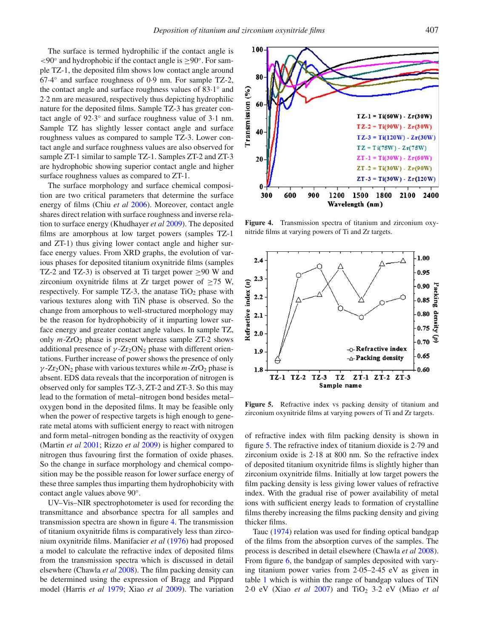The surface is termed hydrophilic if the contact angle is <90° and hydrophobic if the contact angle is ≥90°. For sample TZ-1, the deposited film shows low contact angle around 67·4 ◦ and surface roughness of 0·9 nm. For sample TZ-2, the contact angle and surface roughness values of 83.1° and 2·2 nm are measured, respectively thus depicting hydrophilic nature for the deposited films. Sample TZ-3 has greater contact angle of 92.3° and surface roughness value of 3.1 nm. Sample TZ has slightly lesser contact angle and surface roughness values as compared to sample TZ-3. Lower contact angle and surface roughness values are also observed for sample ZT-1 similar to sample TZ-1. Samples ZT-2 and ZT-3 are hydrophobic showing superior contact angle and higher surface roughness values as compared to ZT-1.

The surface morphology and surface chemical composition are two critical parameters that determine the surface energy of films (Chiu *et al* 2006). Moreover, contact angle shares direct relation with surface roughness and inverse relation to surface energy (Khudhayer *et al* 2009). The deposited films are amorphous at low target powers (samples TZ-1 and ZT-1) thus giving lower contact angle and higher surface energy values. From XRD graphs, the evolution of various phases for deposited titanium oxynitride films (samples TZ-2 and TZ-3) is observed at Ti target power  $\geq$ 90 W and zirconium oxynitride films at Zr target power of  $\geq 75$  W, respectively. For sample TZ-3, the anatase  $TiO<sub>2</sub>$  phase with various textures along with TiN phase is observed. So the change from amorphous to well-structured morphology may be the reason for hydrophobicity of it imparting lower surface energy and greater contact angle values. In sample TZ, only  $m$ -ZrO<sub>2</sub> phase is present whereas sample ZT-2 shows additional presence of  $\gamma$ -Zr<sub>2</sub>ON<sub>2</sub> phase with different orientations. Further increase of power shows the presence of only  $\gamma$ -Zr<sub>2</sub>ON<sub>2</sub> phase with various textures while *m*-ZrO<sub>2</sub> phase is absent. EDS data reveals that the incorporation of nitrogen is observed only for samples TZ-3, ZT-2 and ZT-3. So this may lead to the formation of metal–nitrogen bond besides metal– oxygen bond in the deposited films. It may be feasible only when the power of respective targets is high enough to generate metal atoms with sufficient energy to react with nitrogen and form metal–nitrogen bonding as the reactivity of oxygen (Martin *et al* 2001; Rizzo *et al* 2009) is higher compared to nitrogen thus favouring first the formation of oxide phases. So the change in surface morphology and chemical composition may be the possible reason for lower surface energy of these three samples thus imparting them hydrophobicity with contact angle values above 90◦ .

UV–Vis–NIR spectrophotometer is used for recording the transmittance and absorbance spectra for all samples and transmission spectra are shown in figure 4. The transmission of titanium oxynitride films is comparatively less than zirconium oxynitride films. Manifacier *et al* (1976) had proposed a model to calculate the refractive index of deposited films from the transmission spectra which is discussed in detail elsewhere (Chawla *et al* 2008). The film packing density can be determined using the expression of Bragg and Pippard model (Harris *et al* 1979; Xiao *et al* 2009). The variation

**Figure 4.** Transmission spectra of titanium and zirconium oxynitride films at varying powers of Ti and Zr targets.



of refractive index with film packing density is shown in

figure 5. The refractive index of titanium dioxide is 2·79 and zirconium oxide is 2·18 at 800 nm. So the refractive index of deposited titanium oxynitride films is slightly higher than zirconium oxynitride films. Initially at low target powers the film packing density is less giving lower values of refractive index. With the gradual rise of power availability of metal ions with sufficient energy leads to formation of crystalline films thereby increasing the films packing density and giving thicker films.

Tauc (1974) relation was used for finding optical bandgap of the films from the absorption curves of the samples. The process is described in detail elsewhere (Chawla *et al* 2008). From figure 6, the bandgap of samples deposited with varying titanium power varies from 2·05–2·45 eV as given in table 1 which is within the range of bandgap values of TiN 2·0 eV (Xiao *et al* 2007) and TiO<sup>2</sup> 3·2 eV (Miao *et al*



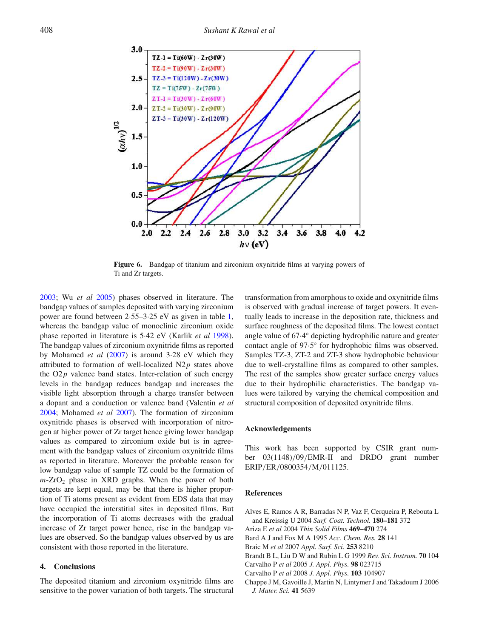

**Figure 6.** Bandgap of titanium and zirconium oxynitride films at varying powers of Ti and Zr targets.

2003; Wu *et al* 2005) phases observed in literature. The bandgap values of samples deposited with varying zirconium power are found between 2·55–3·25 eV as given in table 1, whereas the bandgap value of monoclinic zirconium oxide phase reported in literature is 5·42 eV (Karlik *et al* 1998). The bandgap values of zirconium oxynitride films as reported by Mohamed *et al* (2007) is around 3·28 eV which they attributed to formation of well-localized N2*p* states above the  $O2p$  valence band states. Inter-relation of such energy levels in the bandgap reduces bandgap and increases the visible light absorption through a charge transfer between a dopant and a conduction or valence band (Valentin *et al* 2004; Mohamed *et al* 2007). The formation of zirconium oxynitride phases is observed with incorporation of nitrogen at higher power of Zr target hence giving lower bandgap values as compared to zirconium oxide but is in agreement with the bandgap values of zirconium oxynitride films as reported in literature. Moreover the probable reason for low bandgap value of sample TZ could be the formation of  $m$ -ZrO<sub>2</sub> phase in XRD graphs. When the power of both targets are kept equal, may be that there is higher proportion of Ti atoms present as evident from EDS data that may have occupied the interstitial sites in deposited films. But the incorporation of Ti atoms decreases with the gradual increase of Zr target power hence, rise in the bandgap values are observed. So the bandgap values observed by us are consistent with those reported in the literature.

#### **4. Conclusions**

The deposited titanium and zirconium oxynitride films are sensitive to the power variation of both targets. The structural

transformation from amorphous to oxide and oxynitride films is observed with gradual increase of target powers. It eventually leads to increase in the deposition rate, thickness and surface roughness of the deposited films. The lowest contact angle value of 67·4 ◦ depicting hydrophilic nature and greater contact angle of 97.5° for hydrophobic films was observed. Samples TZ-3, ZT-2 and ZT-3 show hydrophobic behaviour due to well-crystalline films as compared to other samples. The rest of the samples show greater surface energy values due to their hydrophilic characteristics. The bandgap values were tailored by varying the chemical composition and structural composition of deposited oxynitride films.

#### **Acknowledgements**

This work has been supported by CSIR grant number 03(1148)/09/EMR-II and DRDO grant number ERIP/ER/0800354/M/011125.

#### **References**

- Alves E, Ramos A R, Barradas N P, Vaz F, Cerqueira P, Rebouta L and Kreissig U 2004 *Surf. Coat. Technol.* **180–181** 372
- Ariza E *et al* 2004 *Thin Solid Films* **469–470** 274
- Bard A J and Fox M A 1995 *Acc. Chem. Res.* **28** 141
- Braic M *et al* 2007 *Appl. Surf. Sci.* **253** 8210
- Brandt B L, Liu D W and Rubin L G 1999 *Rev. Sci. Instrum.* **70** 104
- Carvalho P *et al* 2005 *J. Appl. Phys.* **98** 023715
- Carvalho P *et al* 2008 *J. Appl. Phys.* **103** 104907
- Chappe J M, Gavoille J, Martin N, Lintymer J and Takadoum J 2006 *J. Mater. Sci.* **41** 5639